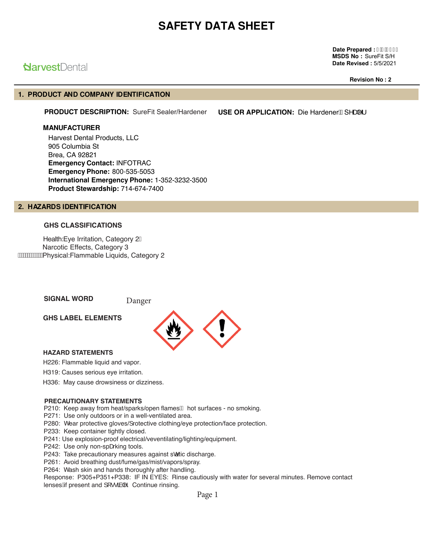**Date Prepared : I FFBEFI MSDS No :** SureFit S/H **Date Revised :** 5/5/2021

# **Narvest**Dental

**Revision No : 2**

# **1. PRODUCT AND COMPANY IDENTIFICATION**

PRODUCT DESCRIPTION: SureFit Sealer/Hardener USE OR APPLICATION: Die Hardener ASA

#### **MANUFACTURER**

Harvest Dental Products, LLC 905 Columbia St Brea, CA 92821 **Emergency Contact:** INFOTRAC **Emergency Phone:** 800-535-5053 **International Emergency Phone:** 1-352-3232-3500 **Product Stewardship:** 714-674-7400

## **2. HAZARDS IDENTIFICATION**

# **GHS CLASSIFICATIONS**

Health:Eye Irritation, Category 2 Narcotic Effects, Category 3 Physical:Flammable Liquids, Category 2

**SIGNAL WORD Danger** 

**GHS LABEL ELEMENTS**



## **HAZARD STATEMENTS**

H226: Flammable liquid and vapor.

H319: Causes serious eye irritation.

H336: May cause drowsiness or dizziness.

#### **PRECAUTIONARY STATEMENTS**

P210: Keep away from heat/sparks/open flames<sup>/B</sup> hot surfaces - no smoking.

P271: Use only outdoors or in a well-ventilated area.

P280: Wear protective gloves/] rotective clothing/eye protection/face protection.

P233: Keep container tightly closed.

P241: Use explosion-proof electrical/veventilating/lighting/equipment.

P242: Use only non-spæking tools.

P243: Take precautionary measures against scatic discharge.

P261: Avoid breathing dust/fume/gas/mist/vapors/spray.

P264: Wash skin and hands thoroughly after handling.

Response: P305+P351+P338: IF IN EYES: Rinse cautiously with water for several minutes. Remove contact lenses $\hat{A}$ f present and  $\int \cdots \hat{a} \cdot \hat{b}$ . Continue rinsing.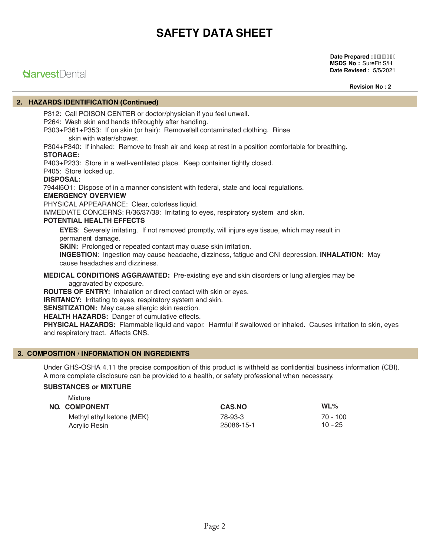#### **Date Prepared : I FEBEFI MSDS No :** SureFit S/H **Date Revised :** 5/5/2021

# **Narvest**Dental

**Revision No : 2**

# **2. HAZARDS IDENTIFICATION (Continued)**

P312: Call POISON CENTER or doctor/physician if you feel unwell. P264: Wash skin and hands the roughly after handling.

P303+P361+P353: If on skin (or hair): Remove all contaminated clothing. Rinse skin with water/shower.

P304+P340: If inhaled: Remove to fresh air and keep at rest in a position comfortable for breathing. **STORAGE:**

P403+P233: Store in a well-ventilated place. Keep container tightly closed.

P405: Store locked up.

## **DISPOSAL:**

7944l5O1: Dispose of in a manner consistent with federal, state and local regulations.

## **EMERGENCY OVERVIEW**

PHYSICAL APPEARANCE: Clear, colorless liquid.

IMMEDIATE CONCERNS: R/36/37/38: Irritating to eyes, respiratory system and skin.

## **POTENTIAL HEALTH EFFECTS**

**EYES**: Severely irritating. If not removed promptly, will injure eye tissue, which may result in permanent damage.

**SKIN:** Prolonged or repeated contact may cuase skin irritation.

**INGESTION**: Ingestion may cause headache, dizziness, fatigue and CNI depression. **INHALATION:** May cause headaches and dizziness.

#### **MEDICAL CONDITIONS AGGRAVATED:** Pre-existing eye and skin disorders or lung allergies may be aggravated by exposure.

**ROUTES OF ENTRY:** Inhalation or direct contact with skin or eyes.

**IRRITANCY:** Irritating to eyes, respiratory system and skin.

**SENSITIZATION:** May cause allergic skin reaction.

**HEALTH HAZARDS:** Danger of cumulative effects.

**PHYSICAL HAZARDS:** Flammable liquid and vapor. Harmful if swallowed or inhaled. Causes irritation to skin, eyes and respiratory tract. Affects CNS.

## **3. COMPOSITION / INFORMATION ON INGREDIENTS**

Under GHS-OSHA 4.11 the precise composition of this product is withheld as confidential business information (CBI). A more complete disclosure can be provided to a health, or safety professional when necessary.

## **SUBSTANCES or MIXTURE**

| Mixture<br><b>NO. COMPONENT</b> | <b>CAS.NO</b> | $WL\%$     |
|---------------------------------|---------------|------------|
| Methyl ethyl ketone (MEK)       | 78-93-3       | $70 - 100$ |
| Acrylic Resin                   | 25086-15-1    | $10 - 25$  |
|                                 |               |            |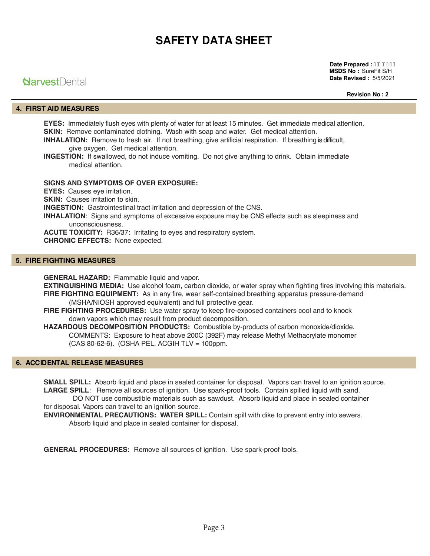# **Narvest**Dental

**Date Prepared : I HBEFI MSDS No :** SureFit S/H **Date Revised :** 5/5/2021

**Revision No : 2**

# **4. FIRST AID MEASURES**

**EYES:** Immediately flush eyes with plenty of water for at least 15 minutes. Get immediate medical attention. **SKIN:** Remove contaminated clothing. Wash with soap and water. Get medical attention.

**INHALATION:** Remove to fresh air. If not breathing, give artificial respiration. If breathing is difficult, give oxygen. Get medical attention.

**INGESTION:** If swallowed, do not induce vomiting. Do not give anything to drink. Obtain immediate medical attention.

#### **SIGNS AND SYMPTOMS OF OVER EXPOSURE:**

**EYES:** Causes eve irritation.

**SKIN:** Causes irritation to skin.

**INGESTION:** Gastrointestinal tract irritation and depression of the CNS.

**INHALATION**: Signs and symptoms of excessive exposure may be CNS effects such as sleepiness and unconsciousness.

**ACUTE TOXICITY:** R36/37: Irritating to eyes and respiratory system.

**CHRONIC EFFECTS:** None expected.

## **5. FIRE FIGHTING MEASURES**

**GENERAL HAZARD:** Flammable liquid and vapor.

**EXTINGUISHING MEDIA:** Use alcohol foam, carbon dioxide, or water spray when fighting fires involving this materials. **FIRE FIGHTING EQUIPMENT:** As in any fire, wear self-contained breathing apparatus pressure-demand (MSHA/NIOSH approved equivalent) and full protective gear.

**FIRE FIGHTING PROCEDURES:** Use water spray to keep fire-exposed containers cool and to knock down vapors which may result from product decomposition.

**HAZARDOUS DECOMPOSITION PRODUCTS:** Combustible by-products of carbon monoxide/dioxide. COMMENTS: Exposure to heat above 200C (392F) may release Methyl Methacrylate monomer (CAS 80-62-6). (OSHA PEL, ACGIH TLV = 100ppm.

# **6. ACCIDENTAL RELEASE MEASURES**

**SMALL SPILL:** Absorb liquid and place in sealed container for disposal. Vapors can travel to an ignition source. **LARGE SPILL**: Remove all sources of ignition. Use spark-proof tools. Contain spilled liquid with sand.

 DO NOT use combustible materials such as sawdust. Absorb liquid and place in sealed container for disposal. Vapors can travel to an ignition source.

**ENVIRONMENTAL PRECAUTIONS: WATER SPILL:** Contain spill with dike to prevent entry into sewers. Absorb liquid and place in sealed container for disposal.

**GENERAL PROCEDURES:** Remove all sources of ignition. Use spark-proof tools.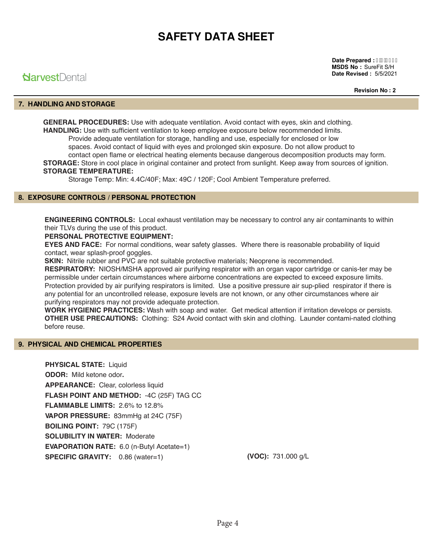# **NarvestDental**

**Date Prepared : I HBBEFI MSDS No :** SureFit S/H **Date Revised :** 5/5/2021

**Revision No : 2**

# **7. HANDLING AND STORAGE**

**GENERAL PROCEDURES:** Use with adequate ventilation. Avoid contact with eyes, skin and clothing. **HANDLING:** Use with sufficient ventilation to keep employee exposure below recommended limits. Provide adequate ventilation for storage, handling and use, especially for enclosed or low spaces. Avoid contact of liquid with eyes and prolonged skin exposure. Do not allow product to contact open flame or electrical heating elements because dangerous decomposition products may form. **STORAGE:** Store in cool place in original container and protect from sunlight. Keep away from sources of ignition. **STORAGE TEMPERATURE:**

Storage Temp: Min: 4.4C/40F; Max: 49C / 120F; Cool Ambient Temperature preferred.

# **8. EXPOSURE CONTROLS / PERSONAL PROTECTION**

**ENGINEERING CONTROLS:** Local exhaust ventilation may be necessary to control any air contaminants to within their TLVs during the use of this product.

## **PERSONAL PROTECTIVE EQUIPMENT:**

**EYES AND FACE:** For normal conditions, wear safety glasses. Where there is reasonable probability of liquid contact, wear splash-proof goggles.

**SKIN:** Nitrile rubber and PVC are not suitable protective materials; Neoprene is recommended.

**RESPIRATORY:** NIOSH/MSHA approved air purifying respirator with an organ vapor cartridge or canis-ter may be permissible under certain circumstances where airborne concentrations are expected to exceed exposure limits. Protection provided by air purifying respirators is limited. Use a positive pressure air sup-plied respirator if there is any potential for an uncontrolled release, exposure levels are not known, or any other circumstances where air purifying respirators may not provide adequate protection.

**WORK HYGIENIC PRACTICES:** Wash with soap and water. Get medical attention if irritation develops or persists. **OTHER USE PRECAUTIONS:** Clothing: S24 Avoid contact with skin and clothing. Launder contami-nated clothing before reuse.

## **9. PHYSICAL AND CHEMICAL PROPERTIES**

**PHYSICAL STATE:** Liquid **ODOR:** Mild ketone odor**. APPEARANCE:** Clear, colorless liquid **FLASH POINT AND METHOD:** -4C (25F) TAG CC **FLAMMABLE LIMITS:** 2.6% to 12.8% **VAPOR PRESSURE:** 83mmHg at 24C (75F) **BOILING POINT:** 79C (175F) **SOLUBILITY IN WATER:** Moderate **EVAPORATION RATE:** 6.0 (n-Butyl Acetate=1) **SPECIFIC GRAVITY:** 0.86 (water=1)

**(VOC):** 731.000 g/L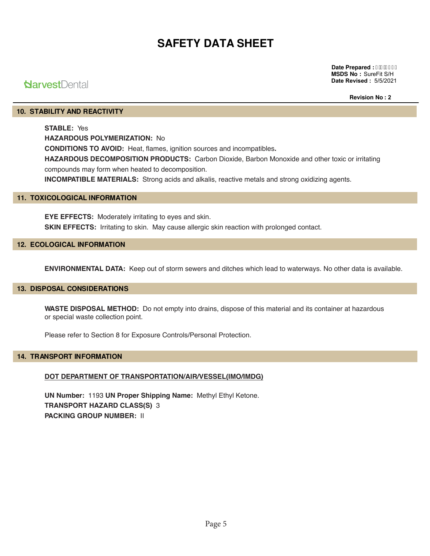# **NarvestDental**

**Date Prepared : I FFOSEFI MSDS No :** SureFit S/H **Date Revised :** 5/5/2021

**Revision No : 2**

# **10. STABILITY AND REACTIVITY**

**STABLE:** Yes **HAZARDOUS POLYMERIZATION:** No **CONDITIONS TO AVOID:** Heat, flames, ignition sources and incompatibles. **HAZARDOUS DECOMPOSITION PRODUCTS:** Carbon Dioxide, Barbon Monoxide and other toxic or irritating compounds may form when heated to decomposition. **INCOMPATIBLE MATERIALS:** Strong acids and alkalis, reactive metals and strong oxidizing agents.

## **11. TOXICOLOGICAL INFORMATION**

**EYE EFFECTS:** Moderately irritating to eyes and skin. **SKIN EFFECTS:** Irritating to skin. May cause allergic skin reaction with prolonged contact.

#### **12. ECOLOGICAL INFORMATION**

**ENVIRONMENTAL DATA:** Keep out of storm sewers and ditches which lead to waterways. No other data is available.

#### **13. DISPOSAL CONSIDERATIONS**

**WASTE DISPOSAL METHOD:** Do not empty into drains, dispose of this material and its container at hazardous or special waste collection point.

Please refer to Section 8 for Exposure Controls/Personal Protection.

## **14. TRANSPORT INFORMATION**

## **DOT DEPARTMENT OF TRANSPORTATION/AIR/VESSEL(IMO/IMDG)**

**UN Number:** 1193 **UN Proper Shipping Name:** Methyl Ethyl Ketone. **TRANSPORT HAZARD CLASS(S)** 3 **PACKING GROUP NUMBER:** II